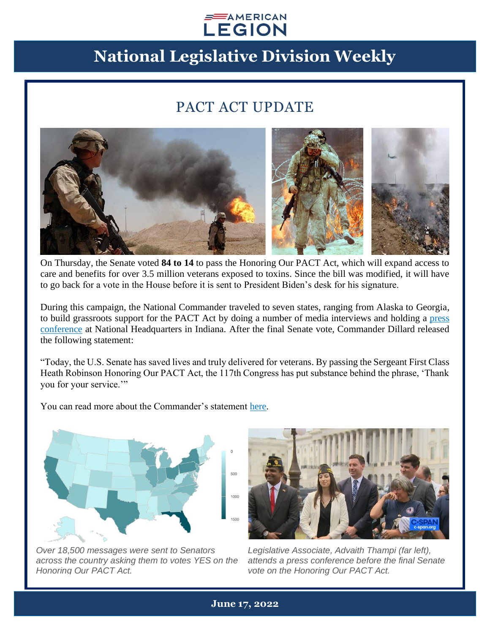#### $\equiv$  AMERICAN **LEGION**

# **National Legislative Division Weekly**

### PACT ACT UPDATE



On Thursday, the Senate voted **84 to 14** to pass the Honoring Our PACT Act, which will expand access to care and benefits for over 3.5 million veterans exposed to toxins. Since the bill was modified, it will have to go back for a vote in the House before it is sent to President Biden's desk for his signature.

During this campaign, the National Commander traveled to seven states, ranging from Alaska to Georgia, to build grassroots support for the PACT Act by doing a number of media interviews and holding a [press](https://www.legion.org/commander/videos/PL048E5F43D9D11C0E/nfY4QyM1I50)  [conference](https://www.legion.org/commander/videos/PL048E5F43D9D11C0E/nfY4QyM1I50) at National Headquarters in Indiana. After the final Senate vote, Commander Dillard released the following statement:

"Today, the U.S. Senate has saved lives and truly delivered for veterans. By passing the Sergeant First Class Heath Robinson Honoring Our PACT Act, the 117th Congress has put substance behind the phrase, 'Thank you for your service.'"

You can read more about the Commander's statement [here.](https://www.legion.org/commander/256042/american-legion-hails-senate-%E2%80%98historic-bipartisan-achievement%E2%80%99-pact-act)



*Over 18,500 messages were sent to Senators across the country asking them to votes YES on the Honoring Our PACT Act.*



*Legislative Associate, Advaith Thampi (far left), attends a press conference before the final Senate vote on the Honoring Our PACT Act.*

**June 17, 2022**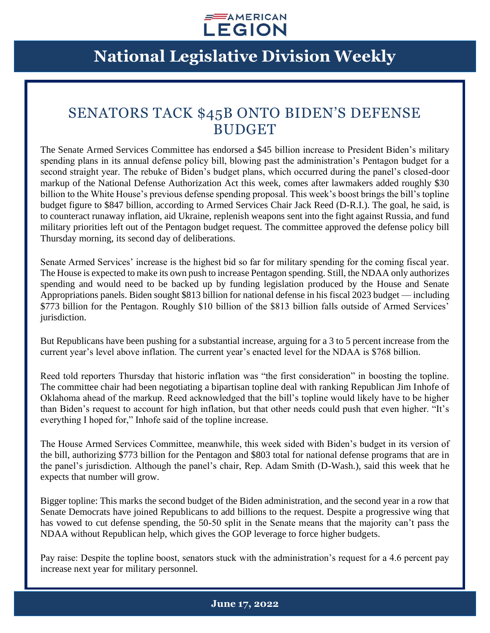

## **National Legislative Division Weekly**

#### SENATORS TACK \$45B ONTO BIDEN'S DEFENSE **BUDGET**

The Senate Armed Services Committee has endorsed a \$45 billion increase to President Biden's military spending plans in its annual defense policy bill, blowing past the administration's Pentagon budget for a second straight year. The rebuke of Biden's budget plans, which occurred during the panel's closed-door markup of the National Defense Authorization Act this week, comes after lawmakers added roughly \$30 billion to the White House's previous defense spending proposal. This week's boost brings the bill's topline budget figure to \$847 billion, according to Armed Services Chair Jack Reed (D-R.I.). The goal, he said, is to counteract runaway inflation, aid Ukraine, replenish weapons sent into the fight against Russia, and fund military priorities left out of the Pentagon budget request. The committee approved the defense policy bill Thursday morning, its second day of deliberations.

Senate Armed Services' increase is the highest bid so far for military spending for the coming fiscal year. The House is expected to make its own push to increase Pentagon spending. Still, the NDAA only authorizes spending and would need to be backed up by funding legislation produced by the House and Senate Appropriations panels. Biden sought \$813 billion for national defense in his fiscal 2023 budget — including \$773 billion for the Pentagon. Roughly \$10 billion of the \$813 billion falls outside of Armed Services' jurisdiction.

But Republicans have been pushing for a substantial increase, arguing for a 3 to 5 percent increase from the current year's level above inflation. The current year's enacted level for the NDAA is \$768 billion.

Reed told reporters Thursday that historic inflation was "the first consideration" in boosting the topline. The committee chair had been negotiating a bipartisan topline deal with ranking Republican Jim Inhofe of Oklahoma ahead of the markup. Reed acknowledged that the bill's topline would likely have to be higher than Biden's request to account for high inflation, but that other needs could push that even higher. "It's everything I hoped for," Inhofe said of the topline increase.

The House Armed Services Committee, meanwhile, this week sided with Biden's budget in its version of the bill, authorizing \$773 billion for the Pentagon and \$803 total for national defense programs that are in the panel's jurisdiction. Although the panel's chair, Rep. Adam Smith (D-Wash.), said this week that he expects that number will grow.

Bigger topline: This marks the second budget of the Biden administration, and the second year in a row that Senate Democrats have joined Republicans to add billions to the request. Despite a progressive wing that has vowed to cut defense spending, the 50-50 split in the Senate means that the majority can't pass the NDAA without Republican help, which gives the GOP leverage to force higher budgets.

Pay raise: Despite the topline boost, senators stuck with the administration's request for a 4.6 percent pay increase next year for military personnel.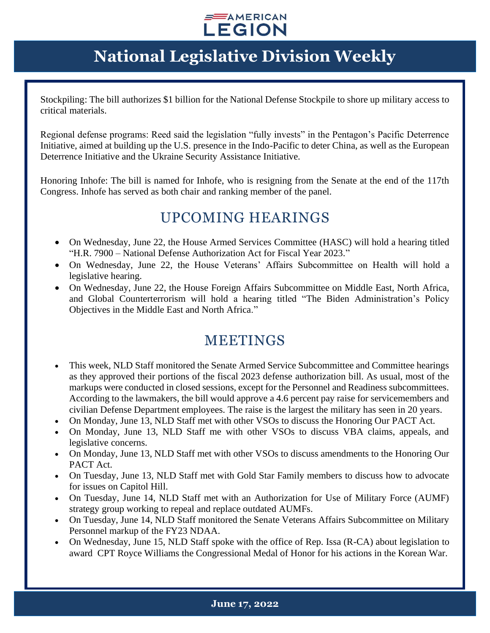#### $\equiv$  AMERICAN **LEGION**

## **National Legislative Division Weekly**

Stockpiling: The bill authorizes \$1 billion for the National Defense Stockpile to shore up military access to critical materials.

Regional defense programs: Reed said the legislation "fully invests" in the Pentagon's Pacific Deterrence Initiative, aimed at building up the U.S. presence in the Indo-Pacific to deter China, as well as the European Deterrence Initiative and the Ukraine Security Assistance Initiative.

Honoring Inhofe: The bill is named for Inhofe, who is resigning from the Senate at the end of the 117th Congress. Inhofe has served as both chair and ranking member of the panel.

### UPCOMING HEARINGS

- On Wednesday, June 22, the House Armed Services Committee (HASC) will hold a hearing titled "H.R. 7900 – National Defense Authorization Act for Fiscal Year 2023."
- On Wednesday, June 22, the House Veterans' Affairs Subcommittee on Health will hold a legislative hearing.
- On Wednesday, June 22, the House Foreign Affairs Subcommittee on Middle East, North Africa, and Global Counterterrorism will hold a hearing titled "The Biden Administration's Policy Objectives in the Middle East and North Africa."

### MEETINGS

- This week, NLD Staff monitored the Senate Armed Service Subcommittee and Committee hearings as they approved their portions of the fiscal 2023 defense authorization bill. As usual, most of the markups were conducted in closed sessions, except for the Personnel and Readiness subcommittees. According to the lawmakers, the bill would approve a 4.6 percent pay raise for servicemembers and civilian Defense Department employees. The raise is the largest the military has seen in 20 years.
- On Monday, June 13, NLD Staff met with other VSOs to discuss the Honoring Our PACT Act.
- On Monday, June 13, NLD Staff me with other VSOs to discuss VBA claims, appeals, and legislative concerns.
- On Monday, June 13, NLD Staff met with other VSOs to discuss amendments to the Honoring Our PACT Act.
- On Tuesday, June 13, NLD Staff met with Gold Star Family members to discuss how to advocate for issues on Capitol Hill.
- On Tuesday, June 14, NLD Staff met with an Authorization for Use of Military Force (AUMF) strategy group working to repeal and replace outdated AUMFs.
- On Tuesday, June 14, NLD Staff monitored the Senate Veterans Affairs Subcommittee on Military Personnel markup of the FY23 NDAA.
- On Wednesday, June 15, NLD Staff spoke with the office of Rep. Issa (R-CA) about legislation to award CPT Royce Williams the Congressional Medal of Honor for his actions in the Korean War.